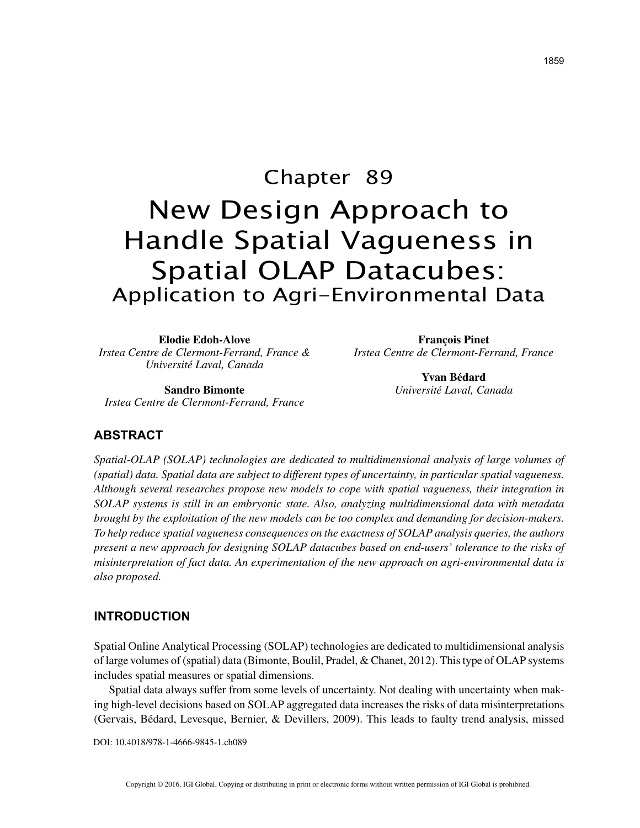# Chapter 89 New Design Approach to Handle Spatial Vagueness in Spatial OLAP Datacubes: Application to Agri-Environmental Data

**Elodie Edoh-Alove** *Irstea Centre de Clermont-Ferrand, France & Université Laval, Canada*

**François Pinet** *Irstea Centre de Clermont-Ferrand, France*

> **Yvan Bédard** *Université Laval, Canada*

**Sandro Bimonte** *Irstea Centre de Clermont-Ferrand, France*

## **ABSTRACT**

*Spatial-OLAP (SOLAP) technologies are dedicated to multidimensional analysis of large volumes of (spatial) data. Spatial data are subject to different types of uncertainty, in particular spatial vagueness. Although several researches propose new models to cope with spatial vagueness, their integration in SOLAP systems is still in an embryonic state. Also, analyzing multidimensional data with metadata brought by the exploitation of the new models can be too complex and demanding for decision-makers. To help reduce spatial vagueness consequences on the exactness of SOLAP analysis queries, the authors present a new approach for designing SOLAP datacubes based on end-users' tolerance to the risks of misinterpretation of fact data. An experimentation of the new approach on agri-environmental data is also proposed.*

## **INTRODUCTION**

Spatial Online Analytical Processing (SOLAP) technologies are dedicated to multidimensional analysis of large volumes of (spatial) data (Bimonte, Boulil, Pradel, & Chanet, 2012). This type of OLAP systems includes spatial measures or spatial dimensions.

Spatial data always suffer from some levels of uncertainty. Not dealing with uncertainty when making high-level decisions based on SOLAP aggregated data increases the risks of data misinterpretations (Gervais, Bédard, Levesque, Bernier, & Devillers, 2009). This leads to faulty trend analysis, missed

DOI: 10.4018/978-1-4666-9845-1.ch089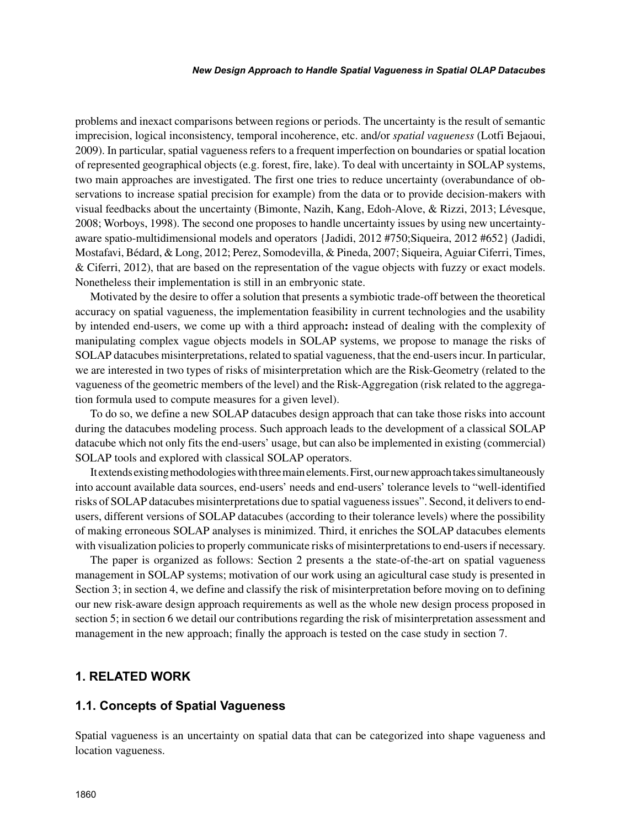problems and inexact comparisons between regions or periods. The uncertainty is the result of semantic imprecision, logical inconsistency, temporal incoherence, etc. and/or *spatial vagueness* (Lotfi Bejaoui, 2009). In particular, spatial vagueness refers to a frequent imperfection on boundaries or spatial location of represented geographical objects (e.g. forest, fire, lake). To deal with uncertainty in SOLAP systems, two main approaches are investigated. The first one tries to reduce uncertainty (overabundance of observations to increase spatial precision for example) from the data or to provide decision-makers with visual feedbacks about the uncertainty (Bimonte, Nazih, Kang, Edoh-Alove, & Rizzi, 2013; Lévesque, 2008; Worboys, 1998). The second one proposes to handle uncertainty issues by using new uncertaintyaware spatio-multidimensional models and operators {Jadidi, 2012 #750;Siqueira, 2012 #652} (Jadidi, Mostafavi, Bédard, & Long, 2012; Perez, Somodevilla, & Pineda, 2007; Siqueira, Aguiar Ciferri, Times, & Ciferri, 2012), that are based on the representation of the vague objects with fuzzy or exact models. Nonetheless their implementation is still in an embryonic state.

Motivated by the desire to offer a solution that presents a symbiotic trade-off between the theoretical accuracy on spatial vagueness, the implementation feasibility in current technologies and the usability by intended end-users, we come up with a third approach**:** instead of dealing with the complexity of manipulating complex vague objects models in SOLAP systems, we propose to manage the risks of SOLAP datacubes misinterpretations, related to spatial vagueness, that the end-users incur. In particular, we are interested in two types of risks of misinterpretation which are the Risk-Geometry (related to the vagueness of the geometric members of the level) and the Risk-Aggregation (risk related to the aggregation formula used to compute measures for a given level).

To do so, we define a new SOLAP datacubes design approach that can take those risks into account during the datacubes modeling process. Such approach leads to the development of a classical SOLAP datacube which not only fits the end-users' usage, but can also be implemented in existing (commercial) SOLAP tools and explored with classical SOLAP operators.

It extends existing methodologies with three main elements. First, our new approach takes simultaneously into account available data sources, end-users' needs and end-users' tolerance levels to "well-identified risks of SOLAP datacubes misinterpretations due to spatial vagueness issues". Second, it delivers to endusers, different versions of SOLAP datacubes (according to their tolerance levels) where the possibility of making erroneous SOLAP analyses is minimized. Third, it enriches the SOLAP datacubes elements with visualization policies to properly communicate risks of misinterpretations to end-users if necessary.

The paper is organized as follows: Section 2 presents a the state-of-the-art on spatial vagueness management in SOLAP systems; motivation of our work using an agicultural case study is presented in Section 3; in section 4, we define and classify the risk of misinterpretation before moving on to defining our new risk-aware design approach requirements as well as the whole new design process proposed in section 5; in section 6 we detail our contributions regarding the risk of misinterpretation assessment and management in the new approach; finally the approach is tested on the case study in section 7.

## **1. RELATED WORK**

### **1.1. Concepts of Spatial Vagueness**

Spatial vagueness is an uncertainty on spatial data that can be categorized into shape vagueness and location vagueness.